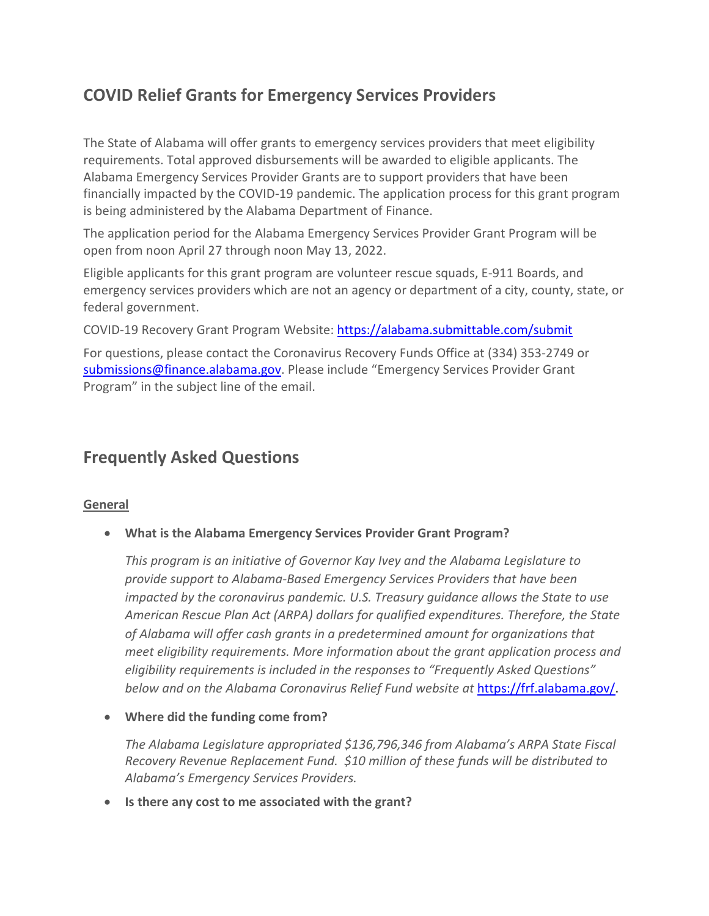# **COVID Relief Grants for Emergency Services Providers**

The State of Alabama will offer grants to emergency services providers that meet eligibility requirements. Total approved disbursements will be awarded to eligible applicants. The Alabama Emergency Services Provider Grants are to support providers that have been financially impacted by the COVID-19 pandemic. The application process for this grant program is being administered by the Alabama Department of Finance.

The application period for the Alabama Emergency Services Provider Grant Program will be open from noon April 27 through noon May 13, 2022.

Eligible applicants for this grant program are volunteer rescue squads, E-911 Boards, and emergency services providers which are not an agency or department of a city, county, state, or federal government.

COVID-19 Recovery Grant Program Website:<https://alabama.submittable.com/submit>

For questions, please contact the Coronavirus Recovery Funds Office at (334) 353-2749 or [submissions@finance.alabama.gov.](mailto:submissions@finance.alabama.gov) Please include "Emergency Services Provider Grant Program" in the subject line of the email.

## **Frequently Asked Questions**

## **General**

• **What is the Alabama Emergency Services Provider Grant Program?**

*This program is an initiative of Governor Kay Ivey and the Alabama Legislature to provide support to Alabama-Based Emergency Services Providers that have been impacted by the coronavirus pandemic. U.S. Treasury guidance allows the State to use American Rescue Plan Act (ARPA) dollars for qualified expenditures. Therefore, the State of Alabama will offer cash grants in a predetermined amount for organizations that meet eligibility requirements. More information about the grant application process and eligibility requirements is included in the responses to "Frequently Asked Questions" below and on the Alabama Coronavirus Relief Fund website at* [https://frf.alabama.gov/.](https://frf.alabama.gov/)

• **Where did the funding come from?**

*The Alabama Legislature appropriated \$136,796,346 from Alabama's ARPA State Fiscal Recovery Revenue Replacement Fund. \$10 million of these funds will be distributed to Alabama's Emergency Services Providers.*

• **Is there any cost to me associated with the grant?**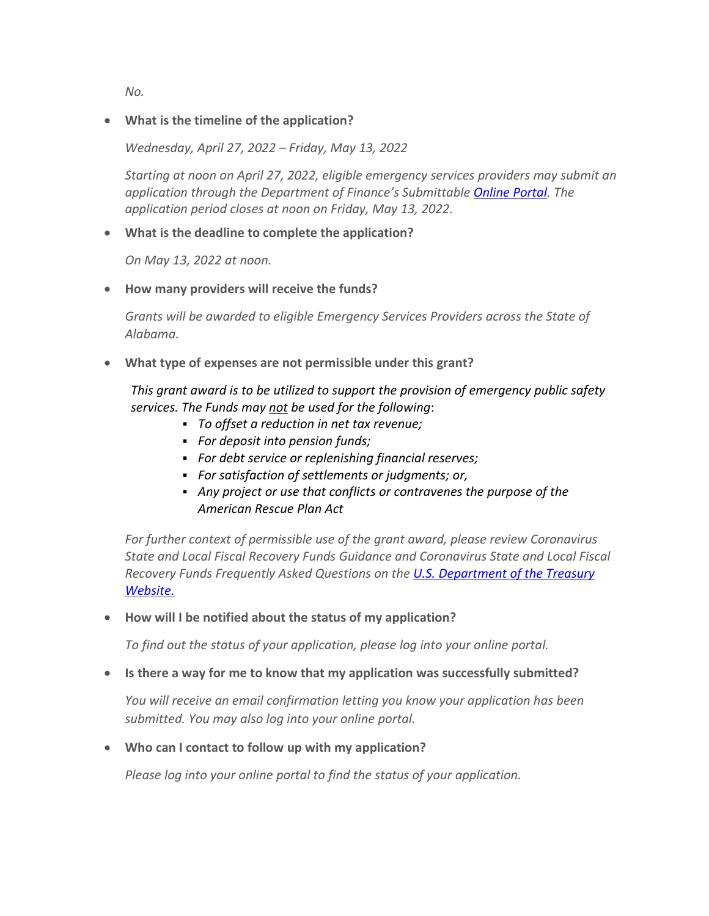*No.* 

### • **What is the timeline of the application?**

*Wednesday, April 27, 2022 – Friday, May 13, 2022*

*Starting at noon on April 27, 2022, eligible emergency services providers may submit an application through the Department of Finance's Submittable [Online Portal.](https://alabama.submittable.com/submit) The application period closes at noon on Friday, May 13, 2022.*

#### • **What is the deadline to complete the application?**

*On May 13, 2022 at noon.*

• **How many providers will receive the funds?**

*Grants will be awarded to eligible Emergency Services Providers across the State of Alabama.* 

• **What type of expenses are not permissible under this grant?**

*This grant award is to be utilized to support the provision of emergency public safety services. The Funds may not be used for the following*:

- *To offset a reduction in net tax revenue;*
- *For deposit into pension funds;*
- *For debt service or replenishing financial reserves;*
- *For satisfaction of settlements or judgments; or,*
- *Any project or use that conflicts or contravenes the purpose of the American Rescue Plan Act*

*For further context of permissible use of the grant award, please review Coronavirus State and Local Fiscal Recovery Funds Guidance and Coronavirus State and Local Fiscal Recovery Funds Frequently Asked Questions on the [U.S. Department of the Treasury](https://home.treasury.gov/policy-issues/cares/state-and-local-governments)  [Website.](https://home.treasury.gov/policy-issues/cares/state-and-local-governments)* 

• **How will I be notified about the status of my application?** 

*To find out the status of your application, please log into your online portal.*

• **Is there a way for me to know that my application was successfully submitted?**

*You will receive an email confirmation letting you know your application has been submitted. You may also log into your online portal.*

• **Who can I contact to follow up with my application?**

*Please log into your online portal to find the status of your application.*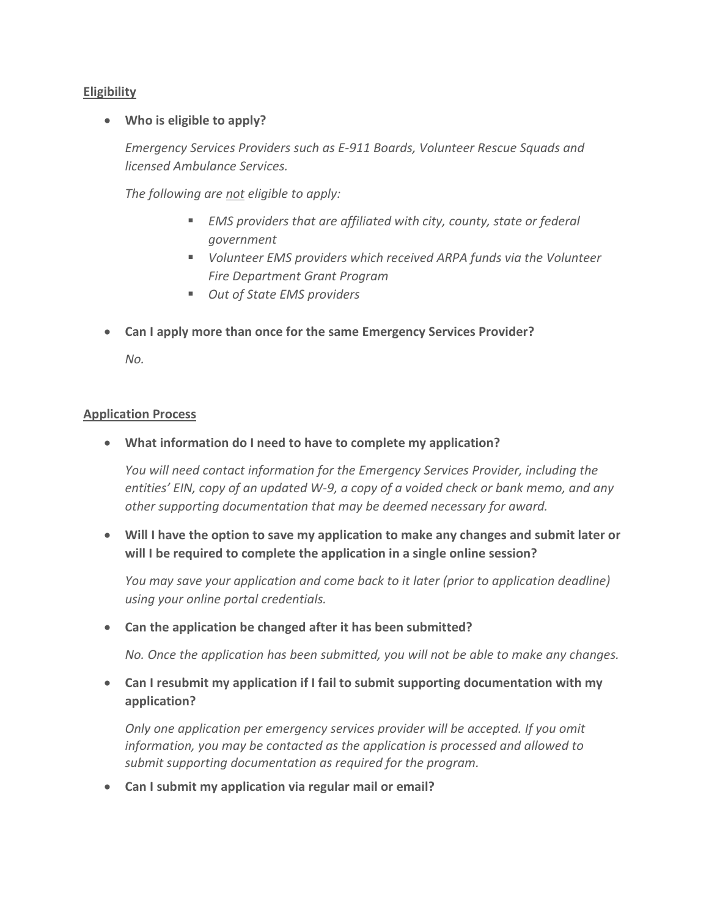## **Eligibility**

#### • **Who is eligible to apply?**

*Emergency Services Providers such as E-911 Boards, Volunteer Rescue Squads and licensed Ambulance Services.* 

*The following are not eligible to apply:*

- *EMS providers that are affiliated with city, county, state or federal government*
- *Volunteer EMS providers which received ARPA funds via the Volunteer Fire Department Grant Program*
- *Out of State EMS providers*
- **Can I apply more than once for the same Emergency Services Provider?**

*No.*

#### **Application Process**

• **What information do I need to have to complete my application?**

*You will need contact information for the Emergency Services Provider, including the entities' EIN, copy of an updated W-9, a copy of a voided check or bank memo, and any other supporting documentation that may be deemed necessary for award.*

• **Will I have the option to save my application to make any changes and submit later or will I be required to complete the application in a single online session?**

*You may save your application and come back to it later (prior to application deadline) using your online portal credentials.*

#### • **Can the application be changed after it has been submitted?**

*No. Once the application has been submitted, you will not be able to make any changes.*

• **Can I resubmit my application if I fail to submit supporting documentation with my application?**

*Only one application per emergency services provider will be accepted. If you omit information, you may be contacted as the application is processed and allowed to submit supporting documentation as required for the program.*

• **Can I submit my application via regular mail or email?**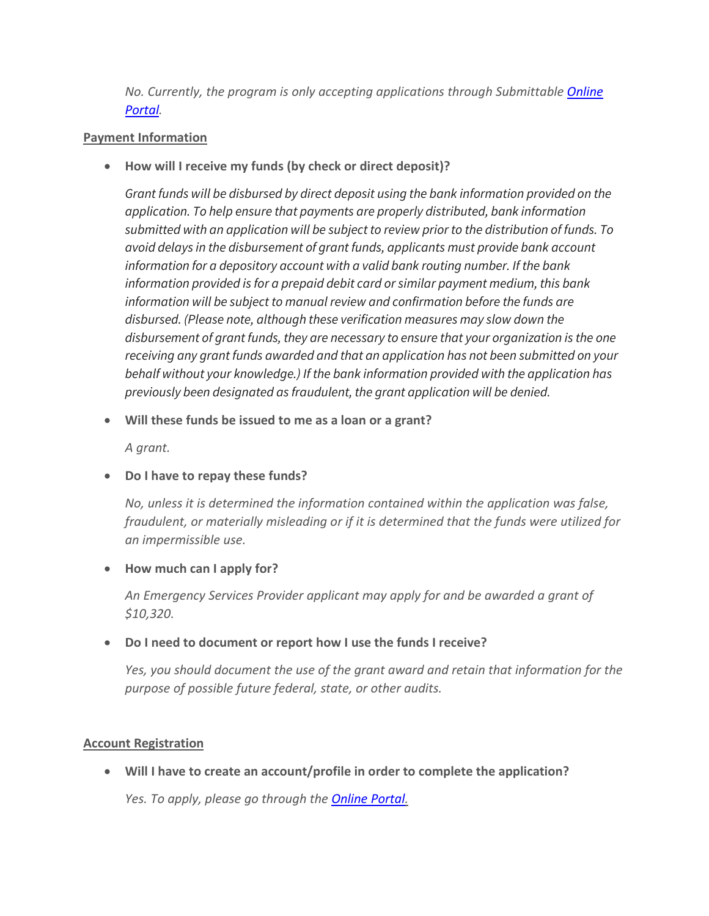*No. Currently, the program is only accepting applications through Submittable [Online](https://alabama.submittable.com/submit)  [Portal.](https://alabama.submittable.com/submit)*

## **Payment Information**

• **How will I receive my funds (by check or direct deposit)?**

*Grant funds will be disbursed by direct deposit using the bank information provided on the application. To help ensure that payments are properly distributed, bank information submitted with an application will be subject to review prior to the distribution of funds. To avoid delays in the disbursement of grant funds, applicants must provide bank account information for a depository account with a valid bank routing number. If the bank information provided is for a prepaid debit card or similar payment medium, this bank information will be subject to manual review and confirmation before the funds are disbursed. (Please note, although these verification measures may slow down the disbursement of grant funds, they are necessary to ensure that your organization is the one receiving any grant funds awarded and that an application has not been submitted on your behalf without your knowledge.) If the bank information provided with the application has previously been designated as fraudulent, the grant application will be denied.*

• **Will these funds be issued to me as a loan or a grant?**

*A grant.*

• **Do I have to repay these funds?**

*No, unless it is determined the information contained within the application was false, fraudulent, or materially misleading or if it is determined that the funds were utilized for an impermissible use.*

## • **How much can I apply for?**

*An Emergency Services Provider applicant may apply for and be awarded a grant of \$10,320.*

## • **Do I need to document or report how I use the funds I receive?**

*Yes, you should document the use of the grant award and retain that information for the purpose of possible future federal, state, or other audits.* 

## **Account Registration**

• **Will I have to create an account/profile in order to complete the application?**

*Yes. To apply, please go through the [Online Portal.](https://alabama.submittable.com/submit)*